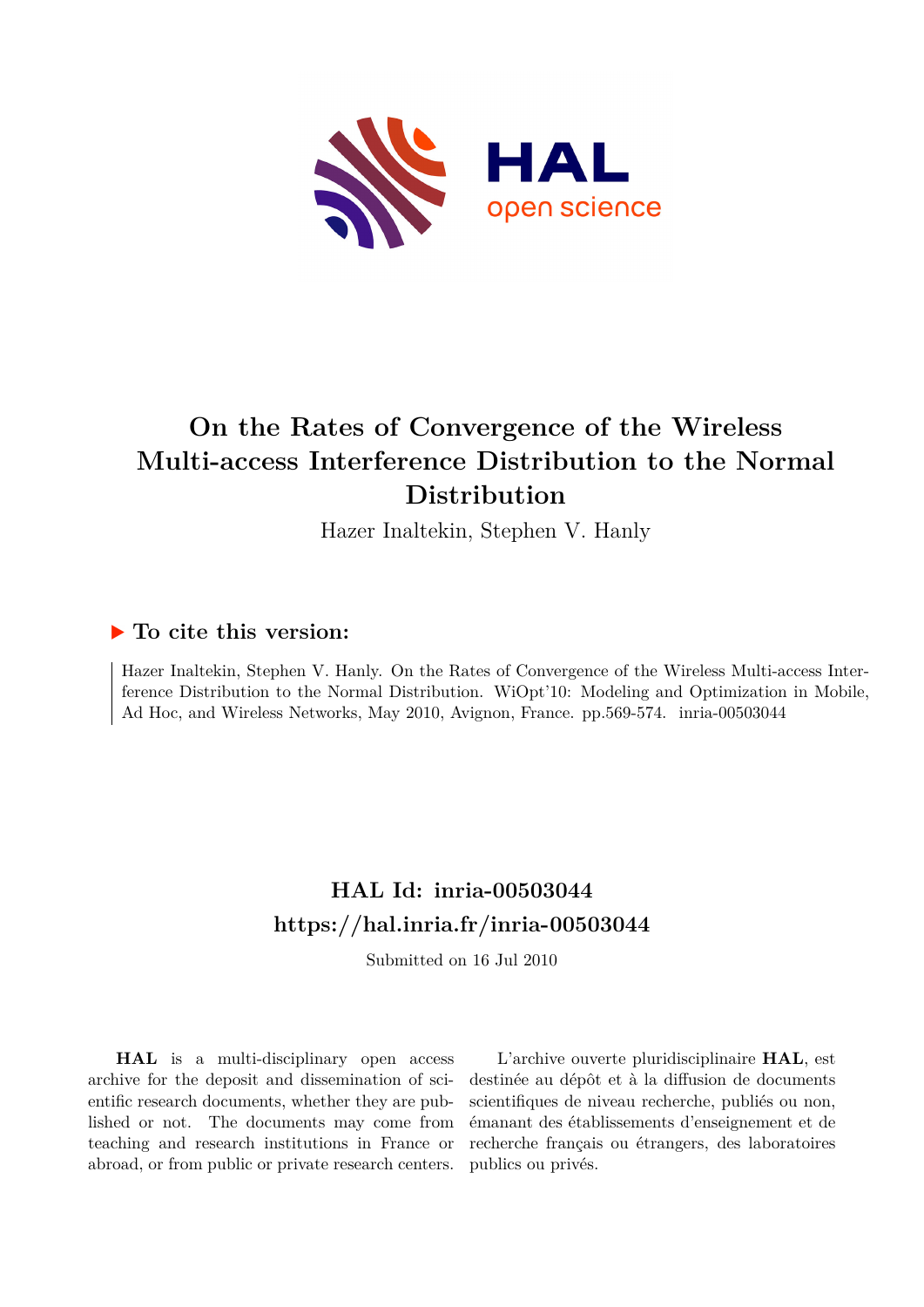

## **On the Rates of Convergence of the Wireless Multi-access Interference Distribution to the Normal Distribution**

Hazer Inaltekin, Stephen V. Hanly

### **To cite this version:**

Hazer Inaltekin, Stephen V. Hanly. On the Rates of Convergence of the Wireless Multi-access Interference Distribution to the Normal Distribution. WiOpt'10: Modeling and Optimization in Mobile, Ad Hoc, and Wireless Networks, May 2010, Avignon, France. pp.569-574. inria-00503044

## **HAL Id: inria-00503044 <https://hal.inria.fr/inria-00503044>**

Submitted on 16 Jul 2010

**HAL** is a multi-disciplinary open access archive for the deposit and dissemination of scientific research documents, whether they are published or not. The documents may come from teaching and research institutions in France or abroad, or from public or private research centers.

L'archive ouverte pluridisciplinaire **HAL**, est destinée au dépôt et à la diffusion de documents scientifiques de niveau recherche, publiés ou non, émanant des établissements d'enseignement et de recherche français ou étrangers, des laboratoires publics ou privés.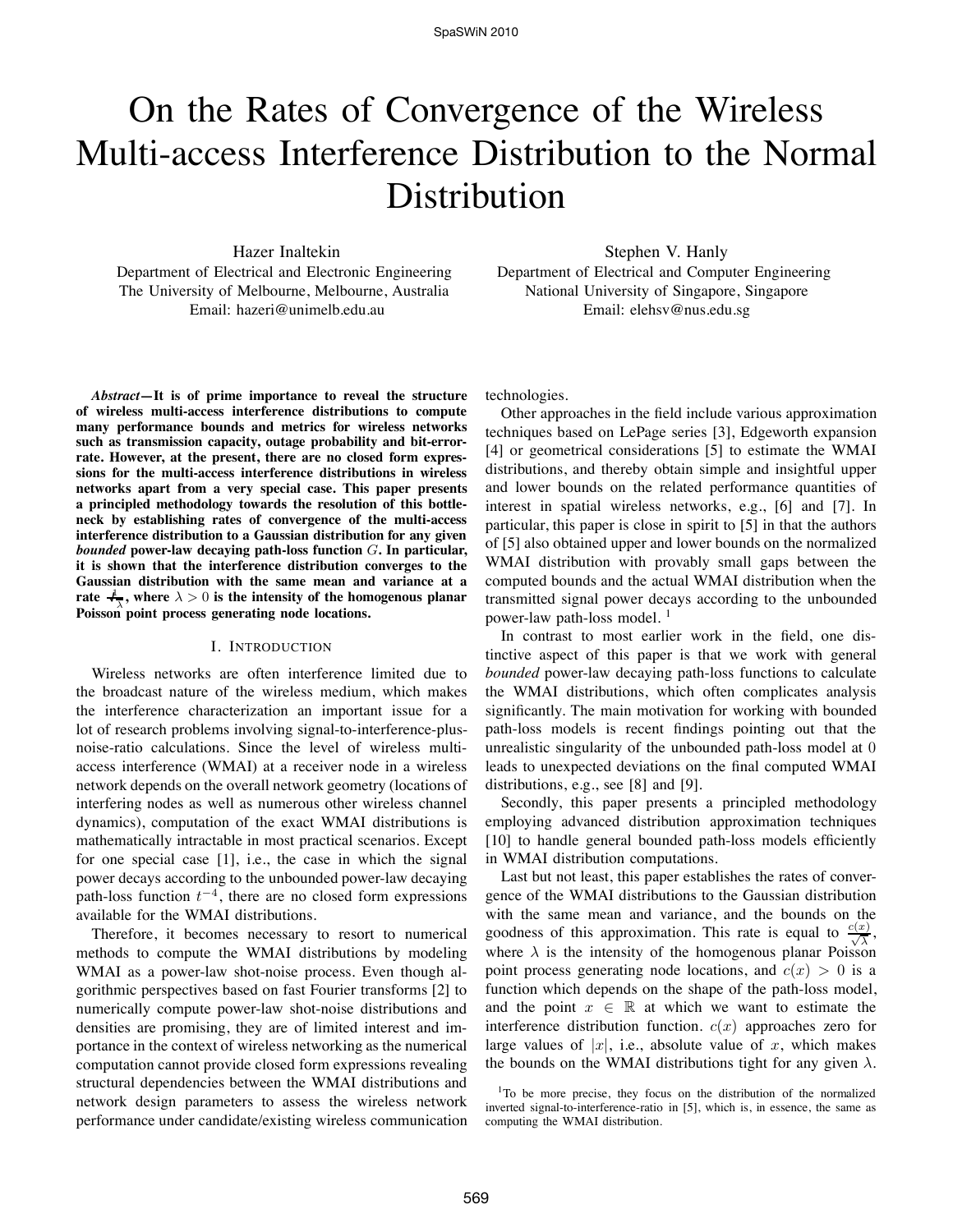# On the Rates of Convergence of the Wireless Multi-access Interference Distribution to the Normal Distribution

Hazer Inaltekin Department of Electrical and Electronic Engineering The University of Melbourne, Melbourne, Australia Email: hazeri@unimelb.edu.au

Stephen V. Hanly Department of Electrical and Computer Engineering National University of Singapore, Singapore Email: elehsv@nus.edu.sg

*Abstract***—It is of prime importance to reveal the structure of wireless multi-access interference distributions to compute many performance bounds and metrics for wireless networks such as transmission capacity, outage probability and bit-errorrate. However, at the present, there are no closed form expressions for the multi-access interference distributions in wireless networks apart from a very special case. This paper presents a principled methodology towards the resolution of this bottleneck by establishing rates of convergence of the multi-access interference distribution to a Gaussian distribution for any given** *bounded* **power-law decaying path-loss function** G**. In particular, it is shown that the interference distribution converges to the Gaussian distribution with the same mean and variance at a** rate  $\frac{j}{\sqrt{\lambda}}$ , where  $\lambda > 0$  is the intensity of the homogenous planar **Poisson point process generating node locations.**

#### I. INTRODUCTION

Wireless networks are often interference limited due to the broadcast nature of the wireless medium, which makes the interference characterization an important issue for a lot of research problems involving signal-to-interference-plusnoise-ratio calculations. Since the level of wireless multiaccess interference (WMAI) at a receiver node in a wireless network depends on the overall network geometry (locations of interfering nodes as well as numerous other wireless channel dynamics), computation of the exact WMAI distributions is mathematically intractable in most practical scenarios. Except for one special case [1], i.e., the case in which the signal power decays according to the unbounded power-law decaying path-loss function  $t^{-4}$ , there are no closed form expressions available for the WMAI distributions.

Therefore, it becomes necessary to resort to numerical methods to compute the WMAI distributions by modeling WMAI as a power-law shot-noise process. Even though algorithmic perspectives based on fast Fourier transforms [2] to numerically compute power-law shot-noise distributions and densities are promising, they are of limited interest and importance in the context of wireless networking as the numerical computation cannot provide closed form expressions revealing structural dependencies between the WMAI distributions and network design parameters to assess the wireless network performance under candidate/existing wireless communication technologies.

Other approaches in the field include various approximation techniques based on LePage series [3], Edgeworth expansion [4] or geometrical considerations [5] to estimate the WMAI distributions, and thereby obtain simple and insightful upper and lower bounds on the related performance quantities of interest in spatial wireless networks, e.g., [6] and [7]. In particular, this paper is close in spirit to [5] in that the authors of [5] also obtained upper and lower bounds on the normalized WMAI distribution with provably small gaps between the computed bounds and the actual WMAI distribution when the transmitted signal power decays according to the unbounded power-law path-loss model.<sup>1</sup>

In contrast to most earlier work in the field, one distinctive aspect of this paper is that we work with general *bounded* power-law decaying path-loss functions to calculate the WMAI distributions, which often complicates analysis significantly. The main motivation for working with bounded path-loss models is recent findings pointing out that the unrealistic singularity of the unbounded path-loss model at 0 leads to unexpected deviations on the final computed WMAI distributions, e.g., see [8] and [9].

Secondly, this paper presents a principled methodology employing advanced distribution approximation techniques [10] to handle general bounded path-loss models efficiently in WMAI distribution computations.

Last but not least, this paper establishes the rates of convergence of the WMAI distributions to the Gaussian distribution with the same mean and variance, and the bounds on the goodness of this approximation. This rate is equal to  $\frac{c(x)}{\sqrt{\lambda}}$ , where  $\lambda$  is the intensity of the homogenous planar Poisson point process generating node locations, and  $c(x) > 0$  is a function which depends on the shape of the path-loss model, and the point  $x \in \mathbb{R}$  at which we want to estimate the interference distribution function.  $c(x)$  approaches zero for large values of  $|x|$ , i.e., absolute value of x, which makes the bounds on the WMAI distributions tight for any given  $\lambda$ .

<sup>&</sup>lt;sup>1</sup>To be more precise, they focus on the distribution of the normalized inverted signal-to-interference-ratio in [5], which is, in essence, the same as computing the WMAI distribution.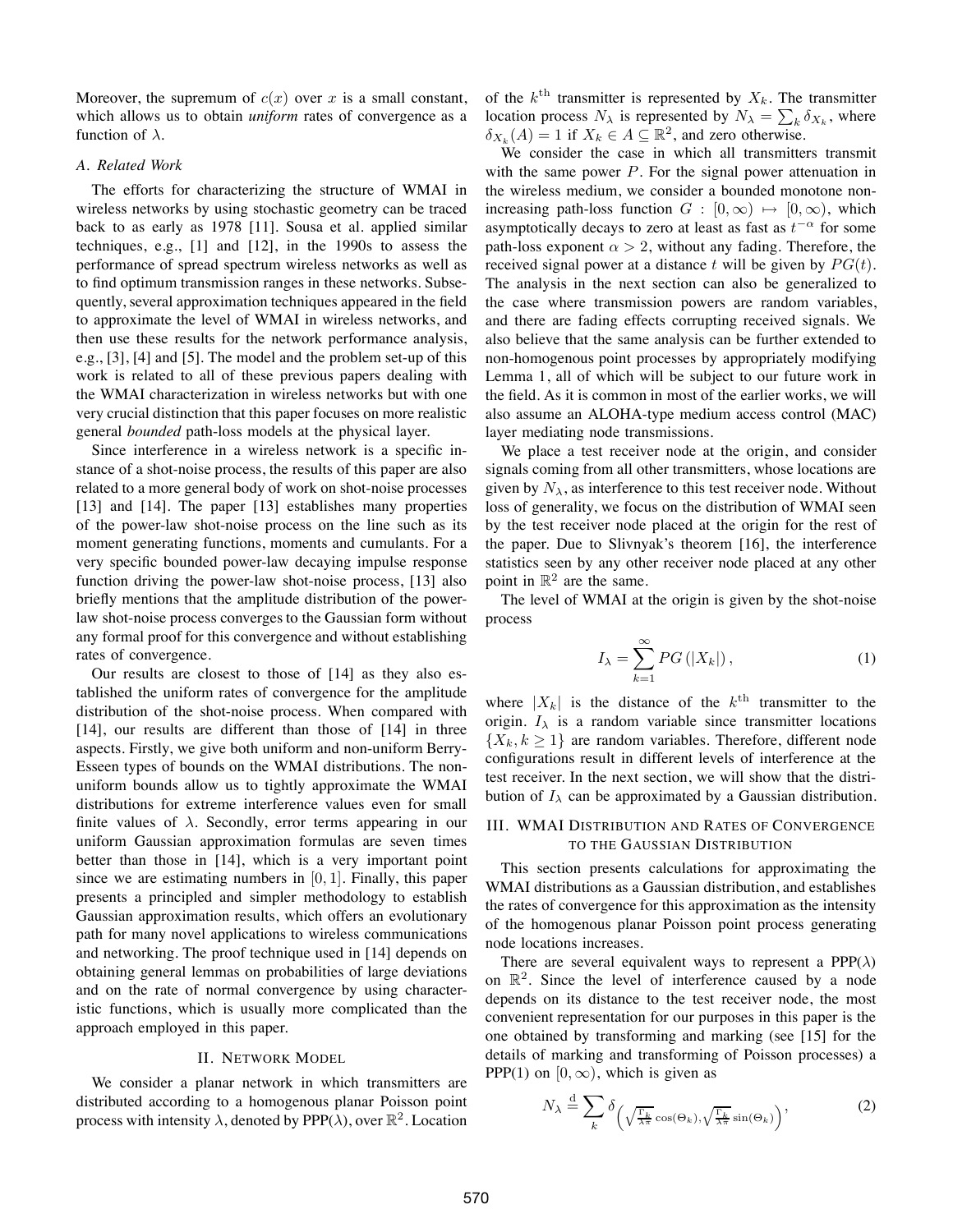Moreover, the supremum of  $c(x)$  over x is a small constant, which allows us to obtain *uniform* rates of convergence as a function of  $\lambda$ .

#### *A. Related Work*

The efforts for characterizing the structure of WMAI in wireless networks by using stochastic geometry can be traced back to as early as 1978 [11]. Sousa et al. applied similar techniques, e.g., [1] and [12], in the 1990s to assess the performance of spread spectrum wireless networks as well as to find optimum transmission ranges in these networks. Subsequently, several approximation techniques appeared in the field to approximate the level of WMAI in wireless networks, and then use these results for the network performance analysis, e.g., [3], [4] and [5]. The model and the problem set-up of this work is related to all of these previous papers dealing with the WMAI characterization in wireless networks but with one very crucial distinction that this paper focuses on more realistic general *bounded* path-loss models at the physical layer.

Since interference in a wireless network is a specific instance of a shot-noise process, the results of this paper are also related to a more general body of work on shot-noise processes [13] and [14]. The paper [13] establishes many properties of the power-law shot-noise process on the line such as its moment generating functions, moments and cumulants. For a very specific bounded power-law decaying impulse response function driving the power-law shot-noise process, [13] also briefly mentions that the amplitude distribution of the powerlaw shot-noise process converges to the Gaussian form without any formal proof for this convergence and without establishing rates of convergence.

Our results are closest to those of [14] as they also established the uniform rates of convergence for the amplitude distribution of the shot-noise process. When compared with [14], our results are different than those of [14] in three aspects. Firstly, we give both uniform and non-uniform Berry-Esseen types of bounds on the WMAI distributions. The nonuniform bounds allow us to tightly approximate the WMAI distributions for extreme interference values even for small finite values of  $\lambda$ . Secondly, error terms appearing in our uniform Gaussian approximation formulas are seven times better than those in [14], which is a very important point since we are estimating numbers in  $[0, 1]$ . Finally, this paper presents a principled and simpler methodology to establish Gaussian approximation results, which offers an evolutionary path for many novel applications to wireless communications and networking. The proof technique used in [14] depends on obtaining general lemmas on probabilities of large deviations and on the rate of normal convergence by using characteristic functions, which is usually more complicated than the approach employed in this paper.

#### II. NETWORK MODEL

We consider a planar network in which transmitters are distributed according to a homogenous planar Poisson point process with intensity  $\lambda$ , denoted by PPP( $\lambda$ ), over  $\mathbb{R}^2$ . Location of the  $k^{\text{th}}$  transmitter is represented by  $X_k$ . The transmitter location process  $N_{\lambda}$  is represented by  $N_{\lambda} = \sum_{k} \delta_{X_k}$ , where  $\delta_{X_k}(A) = 1$  if  $X_k \in A \subseteq \mathbb{R}^2$ , and zero otherwise.

We consider the case in which all transmitters transmit with the same power  $P$ . For the signal power attenuation in the wireless medium, we consider a bounded monotone nonincreasing path-loss function  $G : [0, \infty) \mapsto [0, \infty)$ , which asymptotically decays to zero at least as fast as  $t^{-\alpha}$  for some path-loss exponent  $\alpha > 2$ , without any fading. Therefore, the received signal power at a distance t will be given by  $PG(t)$ . The analysis in the next section can also be generalized to the case where transmission powers are random variables, and there are fading effects corrupting received signals. We also believe that the same analysis can be further extended to non-homogenous point processes by appropriately modifying Lemma 1, all of which will be subject to our future work in the field. As it is common in most of the earlier works, we will also assume an ALOHA-type medium access control (MAC) layer mediating node transmissions.

We place a test receiver node at the origin, and consider signals coming from all other transmitters, whose locations are given by  $N_{\lambda}$ , as interference to this test receiver node. Without loss of generality, we focus on the distribution of WMAI seen by the test receiver node placed at the origin for the rest of the paper. Due to Slivnyak's theorem [16], the interference statistics seen by any other receiver node placed at any other point in  $\mathbb{R}^2$  are the same.

The level of WMAI at the origin is given by the shot-noise process

$$
I_{\lambda} = \sum_{k=1}^{\infty} PG\left(|X_k|\right),\tag{1}
$$

where  $|X_k|$  is the distance of the  $k^{\text{th}}$  transmitter to the origin.  $I_{\lambda}$  is a random variable since transmitter locations  $\{X_k, k \geq 1\}$  are random variables. Therefore, different node configurations result in different levels of interference at the test receiver. In the next section, we will show that the distribution of  $I_{\lambda}$  can be approximated by a Gaussian distribution.

#### III. WMAI DISTRIBUTION AND RATES OF CONVERGENCE TO THE GAUSSIAN DISTRIBUTION

This section presents calculations for approximating the WMAI distributions as a Gaussian distribution, and establishes the rates of convergence for this approximation as the intensity of the homogenous planar Poisson point process generating node locations increases.

There are several equivalent ways to represent a  $PPP(\lambda)$ on  $\mathbb{R}^2$ . Since the level of interference caused by a node depends on its distance to the test receiver node, the most convenient representation for our purposes in this paper is the one obtained by transforming and marking (see [15] for the details of marking and transforming of Poisson processes) a PPP(1) on  $[0, \infty)$ , which is given as

$$
N_{\lambda} \stackrel{\text{d}}{=} \sum_{k} \delta_{\left(\sqrt{\frac{\Gamma_k}{\lambda \pi}} \cos(\Theta_k), \sqrt{\frac{\Gamma_k}{\lambda \pi}} \sin(\Theta_k)\right)},\tag{2}
$$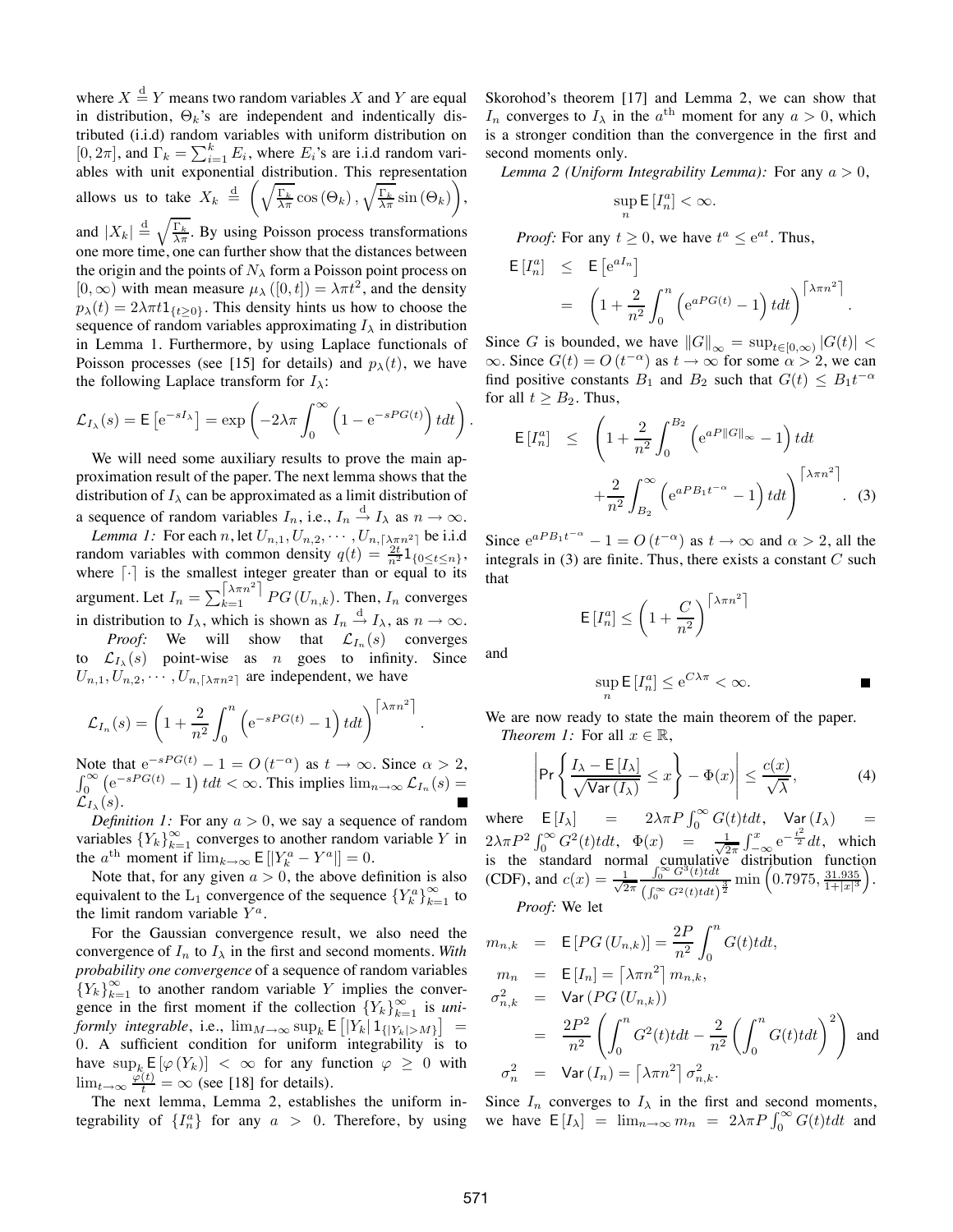where  $X \stackrel{\text{d}}{=} Y$  means two random variables X and Y are equal in distribution,  $\Theta_k$ 's are independent and indentically distributed (i.i.d) random variables with uniform distribution on  $[0, 2\pi]$ , and  $\Gamma_k = \sum_{i=1}^k E_i$ , where  $E_i$ 's are i.i.d random variables with unit exponential distribution. This representation allows us to take  $X_k \stackrel{\text{d}}{=} \left( \sqrt{\frac{\Gamma_k}{\lambda \pi}} \cos (\Theta_k), \sqrt{\frac{\Gamma_k}{\lambda \pi}} \sin (\Theta_k) \right)$ , and  $|X_k| \stackrel{\text{d}}{=} \sqrt{\frac{\Gamma_k}{\lambda \pi}}$ . By using Poisson process transformations

one more time, one can further show that the distances between the origin and the points of  $N<sub>\lambda</sub>$  form a Poisson point process on  $[0, \infty)$  with mean measure  $\mu_{\lambda}([0, t]) = \lambda \pi t^2$ , and the density  $p_{\lambda}(t) = 2\lambda \pi t \mathbb{1}_{\{t \geq 0\}}$ . This density hints us how to choose the sequence of random variables approximating  $I_{\lambda}$  in distribution in Lemma 1. Furthermore, by using Laplace functionals of Poisson processes (see [15] for details) and  $p_{\lambda}(t)$ , we have the following Laplace transform for  $I_{\lambda}$ :

$$
\mathcal{L}_{I_{\lambda}}(s) = \mathsf{E}\left[e^{-sI_{\lambda}}\right] = \exp\left(-2\lambda\pi \int_0^{\infty} \left(1 - e^{-sPG(t)}\right) t dt\right).
$$

We will need some auxiliary results to prove the main approximation result of the paper. The next lemma shows that the distribution of  $I_{\lambda}$  can be approximated as a limit distribution of a sequence of random variables  $I_n$ , i.e.,  $I_n \stackrel{\text{d}}{\rightarrow} I_\lambda$  as  $n \rightarrow \infty$ .

*Lemma 1:* For each n, let  $U_{n,1}, U_{n,2}, \cdots, U_{n,\lceil \lambda \pi n^2 \rceil}$  be i.i.d random variables with common density  $q(t) = \frac{2t}{n^2} 1_{\{0 \le t \le n\}}$ , where  $\lceil \cdot \rceil$  is the smallest integer greater than or equal to its argument. Let  $I_n = \sum_{k=1}^{\lceil \lambda \pi n^2 \rceil} PG(U_{n,k})$ . Then,  $I_n$  converges in distribution to  $I_{\lambda}$ , which is shown as  $I_n \xrightarrow{d} I_{\lambda}$ , as  $n \to \infty$ . *Proof:* We will show that  $\mathcal{L}_{I_n}(s)$  converges

to  $\mathcal{L}_{I_{\lambda}}(s)$  point-wise as n goes to infinity. Since  $U_{n,1}, U_{n,2}, \cdots, U_{n,\lceil \lambda \pi n^2 \rceil}$  are independent, we have

$$
\mathcal{L}_{I_n}(s) = \left(1 + \frac{2}{n^2} \int_0^n \left(e^{-sPG(t)} - 1\right) t dt\right)^{\lceil \lambda \pi n^2 \rceil}.
$$

Note that  $e^{-sPG(t)} - 1 = O(t^{-\alpha})$  as  $t \to \infty$ . Since  $\alpha > 2$ ,  $\int_0^\infty (e^{-sPG(t)} - 1) t dt < \infty$ . This implies  $\lim_{n \to \infty} \mathcal{L}_{I_n}(s) =$  $\mathcal{L}_{I_{\lambda}}(s)$ .

*Definition 1:* For any  $a > 0$ , we say a sequence of random variables  ${Y_k}_{k=1}^{\infty}$  converges to another random variable Y in the  $a^{\text{th}}$  moment if  $\lim_{k \to \infty} E\left[|Y_k^a - Y^a|\right] = 0.$ 

Note that, for any given  $a > 0$ , the above definition is also equivalent to the L<sub>1</sub> convergence of the sequence  ${Y_k^a}_{k=1}^{\infty}$  to the limit random variable  $Y^a$ .

For the Gaussian convergence result, we also need the convergence of  $I_n$  to  $I_\lambda$  in the first and second moments. With *probability one convergence* of a sequence of random variables  ${Y_k}_{k=1}^{\infty}$  to another random variable Y implies the convergence in the first moment if the collection  ${Y_k}_{k=1}^{\infty}$  is *uniformly integrable*, i.e.,  $\lim_{M \to \infty} \sup_k E\left[|Y_k|1_{\{|Y_k| > M\}}\right] =$ 0. A sufficient condition for uniform integrability is to have  $\sup_k E[\varphi(Y_k)] < \infty$  for any function  $\varphi \geq 0$  with  $\lim_{t\to\infty} \frac{\varphi(t)}{t} = \infty$  (see [18] for details).

The next lemma, Lemma 2, establishes the uniform integrability of  $\{I_n^a\}$  for any  $a > 0$ . Therefore, by using

Skorohod's theorem [17] and Lemma 2, we can show that  $I_n$  converges to  $I_\lambda$  in the  $a^{\text{th}}$  moment for any  $a > 0$ , which is a stronger condition than the convergence in the first and second moments only.

*Lemma 2 (Uniform Integrability Lemma):* For any  $a > 0$ ,

$$
\sup_n \mathsf{E}\left[I_n^a\right] < \infty.
$$

*Proof:* For any  $t \geq 0$ , we have  $t^a \leq e^{at}$ . Thus,

$$
\begin{array}{rcl} \mathsf{E}\left[I_n^a\right] & \leq & \mathsf{E}\left[e^{aI_n}\right] \\ & = & \left(1 + \frac{2}{n^2} \int_0^n \left(e^{aPG(t)} - 1\right) t dt\right)^{\left\lceil\lambda \pi n^2\right\rceil}. \end{array}
$$

Since G is bounded, we have  $||G||_{\infty} = \sup_{t \in [0,\infty)} |G(t)|$  <  $\infty$ . Since  $G(t) = O(t^{-\alpha})$  as  $t \to \infty$  for some  $\alpha > 2$ , we can find positive constants  $B_1$  and  $B_2$  such that  $G(t) \leq B_1 t^{-\alpha}$ for all  $t \geq B_2$ . Thus,

$$
\mathsf{E}\left[I_n^a\right] \leq \left(1 + \frac{2}{n^2} \int_0^{B_2} \left(e^{aP||G||_{\infty}} - 1\right) t dt + \frac{2}{n^2} \int_{B_2}^{\infty} \left(e^{aP B_1 t^{-\alpha}} - 1\right) t dt\right)^{\left[\lambda \pi n^2\right]}.
$$
 (3)

Since  $e^{aPB_1t^{-\alpha}} - 1 = O(t^{-\alpha})$  as  $t \to \infty$  and  $\alpha > 2$ , all the integrals in  $(3)$  are finite. Thus, there exists a constant  $C$  such that

$$
\mathsf{E}\left[I_n^a\right] \le \left(1 + \frac{C}{n^2}\right)^{\left\lceil\lambda \pi n^2\right\rceil}
$$

and

$$
\sup_n \mathsf{E}\left[I_n^a\right] \le \mathrm{e}^{C\lambda \pi} < \infty. \tag{}
$$

We are now ready to state the main theorem of the paper. *Theorem 1:* For all  $x \in \mathbb{R}$ ,

$$
\left| \Pr \left\{ \frac{I_{\lambda} - \mathsf{E}\left[ I_{\lambda} \right]}{\sqrt{\mathsf{Var}\left( I_{\lambda} \right)}} \leq x \right\} - \Phi(x) \right| \leq \frac{c(x)}{\sqrt{\lambda}}, \tag{4}
$$

where  $E[I_{\lambda}]$  =  $2\lambda \pi P \int_0^{\infty} G(t) t dt$ ,  $Var(I_{\lambda})$  =  $2\lambda \pi P^2 \int_0^\infty G^2(t) t dt$ ,  $\Phi(x) = \frac{1}{\sqrt{2}}$  $\frac{1}{2\pi} \int_{-\infty}^{x} e^{-\frac{t^2}{2}} dt$ , which is the standard normal cumulative distribution function (CDF), and  $c(x) = \frac{1}{\sqrt{2}}$  $2\pi$  $\int_0^\infty G^3(t) t dt$  $\frac{\int_0^\infty G^3(t) t dt}{\left(\int_0^\infty G^2(t) t dt\right)^{\frac{3}{2}}} \min\left(0.7975, \frac{31.935}{1+|x|^3}\right).$ *Proof:* We let

$$
m_{n,k} = \mathbb{E}\left[PG\left(U_{n,k}\right)\right] = \frac{2P}{n^2} \int_0^n G(t) t dt,
$$
  
\n
$$
m_n = \mathbb{E}\left[I_n\right] = \left[\lambda \pi n^2\right] m_{n,k},
$$
  
\n
$$
\sigma_{n,k}^2 = \text{Var}\left(PG\left(U_{n,k}\right)\right)
$$
  
\n
$$
= \frac{2P^2}{n^2} \left(\int_0^n G^2(t) t dt - \frac{2}{n^2} \left(\int_0^n G(t) t dt\right)^2\right) \text{ and}
$$
  
\n
$$
\sigma_n^2 = \text{Var}\left(I_n\right) = \left[\lambda \pi n^2\right] \sigma_{n,k}^2.
$$

Since  $I_n$  converges to  $I_\lambda$  in the first and second moments, we have  $E[I_{\lambda}] = \lim_{n \to \infty} m_n = 2\lambda \pi P \int_0^{\infty} G(t) t dt$  and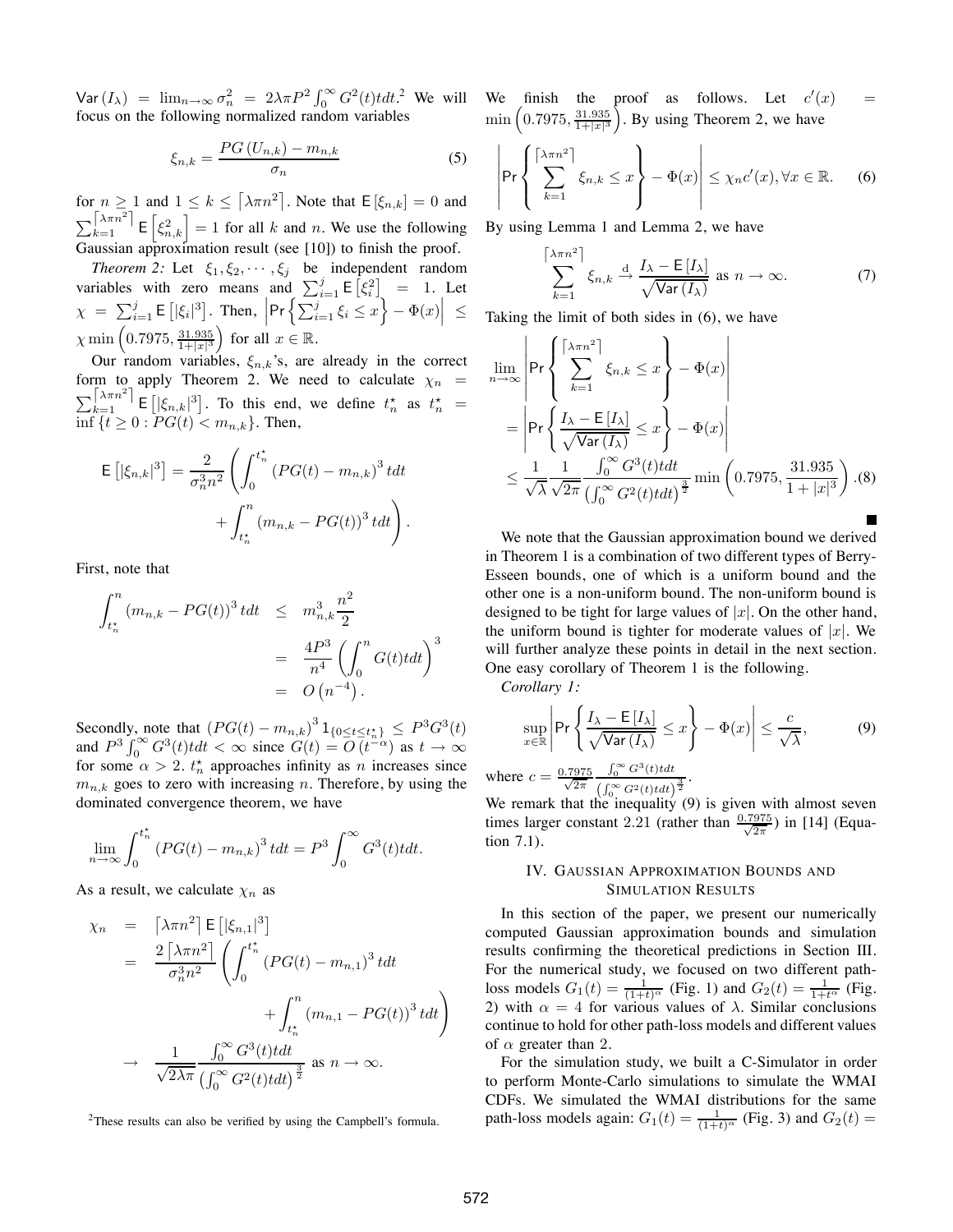Var $(I_{\lambda})$  =  $\lim_{n\to\infty} \sigma_n^2 = 2\lambda \pi P^2 \int_0^{\infty} G^2(t) t dt$ .<sup>2</sup> We will focus on the following normalized random variables

$$
\xi_{n,k} = \frac{PG\left(U_{n,k}\right) - m_{n,k}}{\sigma_n} \tag{5}
$$

for  $n \ge 1$  and  $1 \le k \le \lceil \lambda \pi n^2 \rceil$ . Note that  $\mathsf{E}[\xi_{n,k}] = 0$  and  $\sum_{k=1}^{\lceil \lambda \pi n^2 \rceil}$   $\mathsf{E} \left[ \xi_{n,k}^2 \right] = 1$  for all k and n. We use the following Gaussian approximation result (see [10]) to finish the proof.

*Theorem 2:* Let  $\xi_1, \xi_2, \dots, \xi_j$  be independent random variables with zero means and  $\sum_{i=1}^{j} \mathsf{E} [\xi_i^2] = 1$ . Let  $\chi = \sum_{i=1}^{j} \mathsf{E} \left[ |\xi_i|^3 \right]$ . Then,  $\left| \Pr \left\{ \sum_{i=1}^{j} \xi_i \leq x \right\} - \Phi(x) \right| \leq$  $\chi \min\left( 0.7975, \frac{31.935}{1+|x|^3} \right) \text{ for all } x \in \mathbb{R}.$ 

Our random variables,  $\xi_{n,k}$ 's, are already in the correct form to apply Theorem 2. We need to calculate  $\chi_n$  =  $\sum_{k=1}^{\lceil \lambda \pi n^2 \rceil}$  E  $\lceil |\xi_{n,k}|^3 \rceil$ . To this end, we define  $t_n^*$  as  $t_n^*$  = |<br>| inf  $\{t \ge 0 : PG(t) < m_{n,k}\}.$  Then,

$$
\mathsf{E}\left[|\xi_{n,k}|^3\right] = \frac{2}{\sigma_n^3 n^2} \left( \int_0^{t_n^*} \left( PG(t) - m_{n,k} \right)^3 t dt \right. \\ \left. + \int_{t_n^*}^n \left( m_{n,k} - PG(t) \right)^3 t dt \right).
$$

First, note that

$$
\int_{t_n^*}^n (m_{n,k} - PG(t))^3 t dt \leq m_{n,k}^3 \frac{n^2}{2}
$$
  
= 
$$
\frac{4P^3}{n^4} \left( \int_0^n G(t) t dt \right)^3
$$
  
= 
$$
O(n^{-4}).
$$

Secondly, note that  $(PG(t) - m_{n,k})^3 1_{\{0 \le t \le t_n^*\}} \le P^3 G^3(t)$ and  $P^3 \int_0^\infty G^3(t) t dt < \infty$  since  $G(t) = O(t^{-\alpha})$  as  $t \to \infty$ for some  $\alpha > 2$ .  $t_n^*$  approaches infinity as *n* increases since  $m_{n,k}$  goes to zero with increasing n. Therefore, by using the dominated convergence theorem, we have

$$
\lim_{n \to \infty} \int_0^{t_n^*} (PG(t) - m_{n,k})^3 t dt = P^3 \int_0^{\infty} G^3(t) t dt.
$$

As a result, we calculate  $\chi_n$  as

$$
\chi_n = \left[\lambda \pi n^2\right] \mathbb{E}\left[|\xi_{n,1}|^3\right]
$$
  
\n
$$
= \frac{2\left[\lambda \pi n^2\right]}{\sigma_n^3 n^2} \left(\int_0^{t_n^*} \left(PG(t) - m_{n,1}\right)^3 t dt + \int_{t_n^*}^n (m_{n,1} - PG(t))^3 t dt\right)
$$
  
\n
$$
\to \frac{1}{\sqrt{2\lambda \pi}} \frac{\int_0^{\infty} G^3(t) t dt}{\left(\int_0^{\infty} G^2(t) t dt\right)^{\frac{3}{2}}} \text{ as } n \to \infty.
$$

2These results can also be verified by using the Campbell's formula.

We finish the proof as follows. Let  $c'(x) =$  $\min\left(0.7975, \frac{31.935}{1+|x|^3}\right)$ . By using Theorem 2, we have

$$
\left| \Pr \left\{ \sum_{k=1}^{\lceil \lambda \pi n^2 \rceil} \xi_{n,k} \leq x \right\} - \Phi(x) \right| \leq \chi_n c'(x), \forall x \in \mathbb{R}.
$$
 (6)

By using Lemma 1 and Lemma 2, we have

$$
\sum_{k=1}^{\lceil \lambda \pi n^2 \rceil} \xi_{n,k} \xrightarrow{d} \frac{I_{\lambda} - \mathsf{E}[I_{\lambda}]}{\sqrt{\text{Var}(I_{\lambda})}} \text{ as } n \to \infty.
$$
 (7)

Taking the limit of both sides in (6), we have

$$
\lim_{n \to \infty} \left| \Pr \left\{ \sum_{k=1}^{\lceil \lambda \pi n^2 \rceil} \xi_{n,k} \leq x \right\} - \Phi(x) \right|
$$
\n
$$
= \left| \Pr \left\{ \frac{I_{\lambda} - \mathsf{E}[I_{\lambda}]}{\sqrt{\text{Var}(I_{\lambda})}} \leq x \right\} - \Phi(x) \right|
$$
\n
$$
\leq \frac{1}{\sqrt{\lambda}} \frac{1}{\sqrt{2\pi}} \frac{\int_0^{\infty} G^3(t)t dt}{\left(\int_0^{\infty} G^2(t)t dt\right)^{\frac{3}{2}}} \min \left( 0.7975, \frac{31.935}{1+|x|^3} \right). (8)
$$

We note that the Gaussian approximation bound we derived in Theorem 1 is a combination of two different types of Berry-Esseen bounds, one of which is a uniform bound and the other one is a non-uniform bound. The non-uniform bound is designed to be tight for large values of  $|x|$ . On the other hand, the uniform bound is tighter for moderate values of  $|x|$ . We will further analyze these points in detail in the next section. One easy corollary of Theorem 1 is the following.

*Corollary 1:*

$$
\sup_{x \in \mathbb{R}} \left| \Pr \left\{ \frac{I_{\lambda} - \mathsf{E}\left[ I_{\lambda} \right]}{\sqrt{\text{Var}\left( I_{\lambda} \right)}} \leq x \right\} - \Phi(x) \right| \leq \frac{c}{\sqrt{\lambda}},\tag{9}
$$

where  $c = \frac{0.7975}{\sqrt{2\pi}}$  $\int_0^\infty G^3(t)t dt$  $\frac{\int_0^\infty G^2(t) t dt}{\left(\int_0^\infty G^2(t) t dt\right)^{\frac{3}{2}}}.$ 

We remark that the inequality (9) is given with almost seven times larger constant 2.21 (rather than  $\frac{0.7975}{\sqrt{2\pi}}$ ) in [14] (Equation 7.1).

#### IV. GAUSSIAN APPROXIMATION BOUNDS AND SIMULATION RESULTS

In this section of the paper, we present our numerically computed Gaussian approximation bounds and simulation results confirming the theoretical predictions in Section III. For the numerical study, we focused on two different pathloss models  $G_1(t) = \frac{1}{(1+t)^\alpha}$  (Fig. 1) and  $G_2(t) = \frac{1}{1+t^\alpha}$  (Fig. 2) with  $\alpha = 4$  for various values of  $\lambda$ . Similar conclusions continue to hold for other path-loss models and different values of  $\alpha$  greater than 2.

For the simulation study, we built a C-Simulator in order to perform Monte-Carlo simulations to simulate the WMAI CDFs. We simulated the WMAI distributions for the same path-loss models again:  $G_1(t) = \frac{1}{(1+t)^\alpha}$  (Fig. 3) and  $G_2(t) =$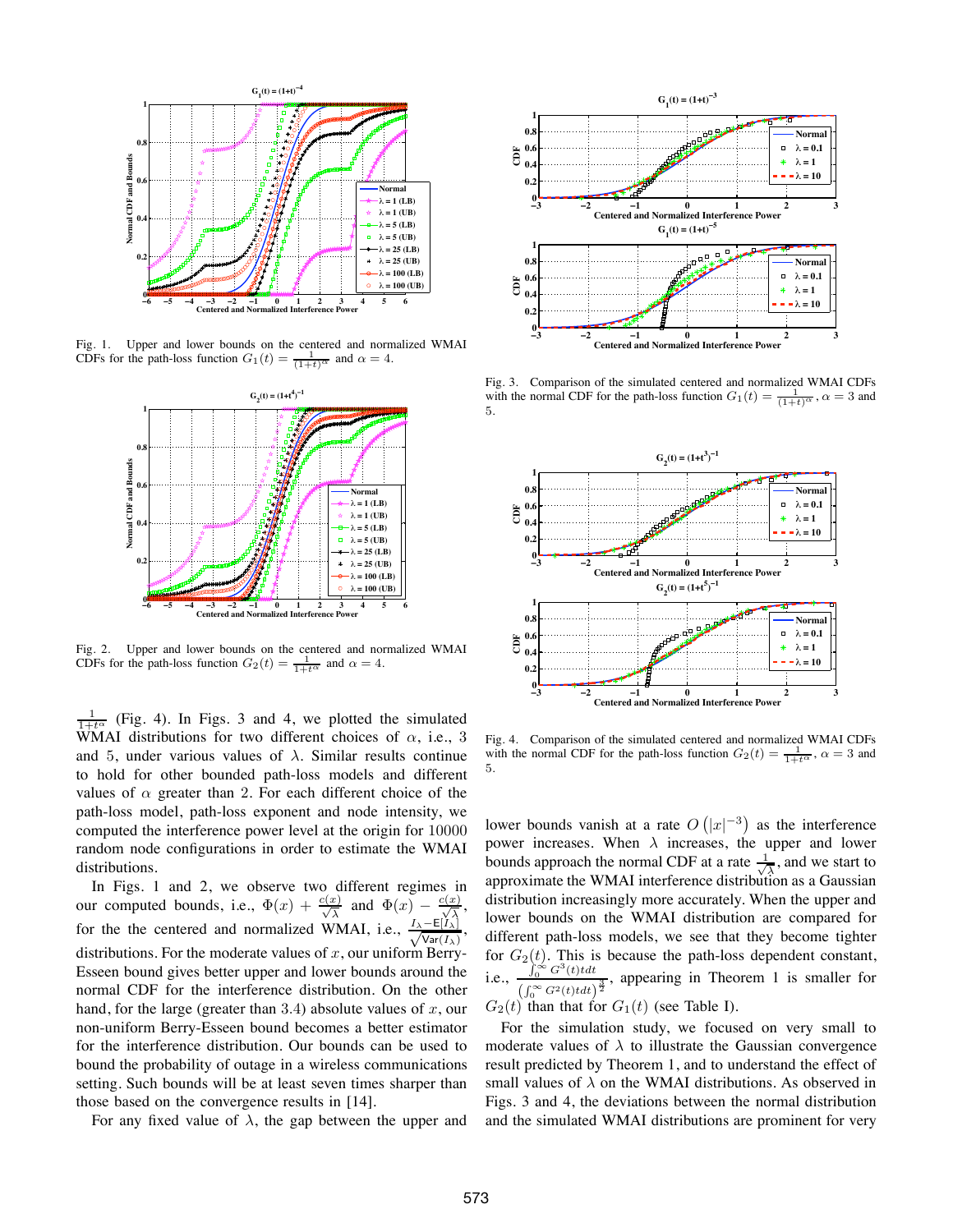

Fig. 1. Upper and lower bounds on the centered and normalized WMAI CDFs for the path-loss function  $G_1(t) = \frac{1}{(1+t)^\alpha}$  and  $\alpha = 4$ .



Fig. 2. Upper and lower bounds on the centered and normalized WMAI CDFs for the path-loss function  $G_2(t) = \frac{1}{1+t^{\alpha}}$  and  $\alpha = 4$ .

 $\frac{1}{1+t^{\alpha}}$  (Fig. 4). In Figs. 3 and 4, we plotted the simulated WMAI distributions for two different choices of  $\alpha$ , i.e., 3 and 5, under various values of  $\lambda$ . Similar results continue to hold for other bounded path-loss models and different values of  $\alpha$  greater than 2. For each different choice of the path-loss model, path-loss exponent and node intensity, we computed the interference power level at the origin for 10000 random node configurations in order to estimate the WMAI distributions.

In Figs. 1 and 2, we observe two different regimes in our computed bounds, i.e.,  $\Phi(x) + \frac{c(x)}{\sqrt{\lambda}}$  and  $\Phi(x) - \frac{c(x)}{\sqrt{\lambda}}$ , for the the centered and normalized WMAI, i.e.,  $\frac{I_{\lambda}-E[\tilde{I}_{\lambda}]}{\sqrt{N_{\lambda}E(I_{\lambda})}}$  $\frac{-\mathsf{E}[I_\lambda]}{\mathsf{Var}(I_\lambda)},$ distributions. For the moderate values of  $x$ , our uniform Berry-Esseen bound gives better upper and lower bounds around the normal CDF for the interference distribution. On the other hand, for the large (greater than 3.4) absolute values of  $x$ , our non-uniform Berry-Esseen bound becomes a better estimator for the interference distribution. Our bounds can be used to bound the probability of outage in a wireless communications setting. Such bounds will be at least seven times sharper than those based on the convergence results in [14].

For any fixed value of  $\lambda$ , the gap between the upper and



Fig. 3. Comparison of the simulated centered and normalized WMAI CDFs with the normal CDF for the path-loss function  $G_1(t) = \frac{1}{(1+t)^{\alpha}}$ ,  $\alpha = 3$  and 5.



Fig. 4. Comparison of the simulated centered and normalized WMAI CDFs with the normal CDF for the path-loss function  $G_2(t) = \frac{1}{1+t^{\alpha}}$ ,  $\alpha = 3$  and 5.

lower bounds vanish at a rate  $O(|x|^{-3})$  as the interference power increases. When  $\lambda$  increases, the upper and lower bounds approach the normal CDF at a rate  $\frac{1}{\sqrt{\lambda}}$ , and we start to approximate the WMAI interference distribution as a Gaussian distribution increasingly more accurately. When the upper and lower bounds on the WMAI distribution are compared for different path-loss models, we see that they become tighter for  $G_2(t)$ . This is because the path-loss dependent constant, i.e.,  $\int_0^\infty G^3(t)t dt$  $\frac{f_0}{\left(\int_0^\infty G^2(t) t dt\right)^{\frac{3}{2}}}$ , appearing in Theorem 1 is smaller for  $G_2(t)$  than that for  $G_1(t)$  (see Table I).

For the simulation study, we focused on very small to moderate values of  $\lambda$  to illustrate the Gaussian convergence result predicted by Theorem 1, and to understand the effect of small values of  $\lambda$  on the WMAI distributions. As observed in Figs. 3 and 4, the deviations between the normal distribution and the simulated WMAI distributions are prominent for very